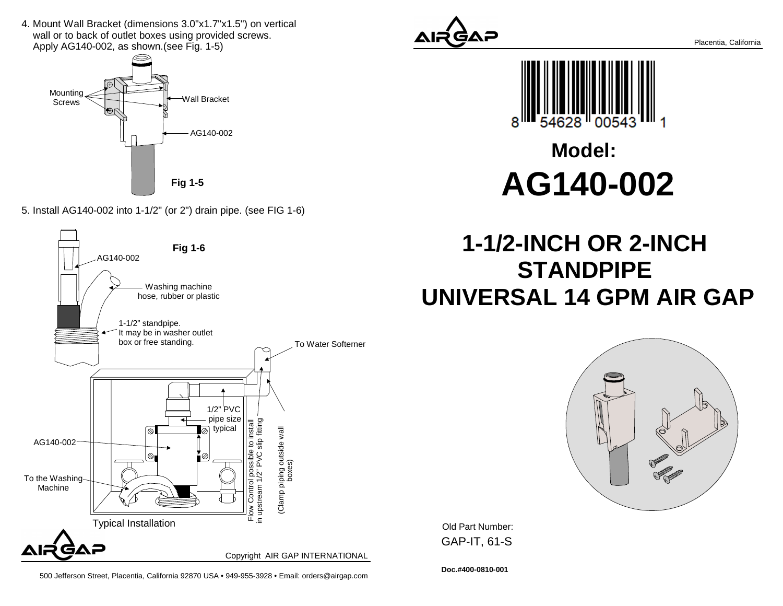4. Mount Wall Bracket (dimensions 3.0"x1.7"x1.5") on vertical wall or to back of outlet boxes using provided screws.Apply AG140-002, as shown.(see Fig. 1-5)



5. Install AG140-002 into 1-1/2" (or 2") drain pipe. (see FIG 1-6)









## **Model:AG140-002**

## **1-1/2-INCH OR 2-INCH STANDPIPE UNIVERSAL 14 GPM AIR GAP**



Old Part Number: GAP-IT, 61-S

500 Jefferson Street, Placentia, California 92870 USA • 949-955-3928 • Email: orders@airgap.com

**Doc.#400-0810-001**